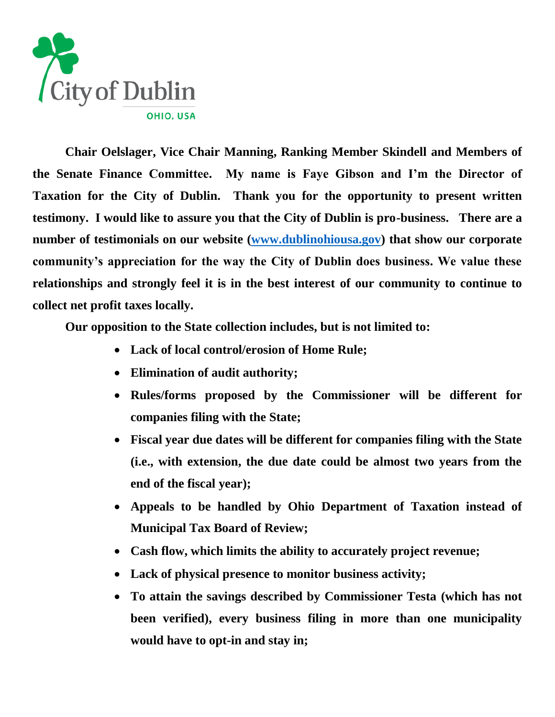

**Chair Oelslager, Vice Chair Manning, Ranking Member Skindell and Members of the Senate Finance Committee. My name is Faye Gibson and I'm the Director of Taxation for the City of Dublin. Thank you for the opportunity to present written testimony. I would like to assure you that the City of Dublin is pro-business. There are a number of testimonials on our website [\(www.dublinohiousa.gov\)](http://www.dublinohiousa.gov/) that show our corporate community's appreciation for the way the City of Dublin does business. We value these relationships and strongly feel it is in the best interest of our community to continue to collect net profit taxes locally.**

**Our opposition to the State collection includes, but is not limited to:**

- **Lack of local control/erosion of Home Rule;**
- **Elimination of audit authority;**
- **Rules/forms proposed by the Commissioner will be different for companies filing with the State;**
- **Fiscal year due dates will be different for companies filing with the State (i.e., with extension, the due date could be almost two years from the end of the fiscal year);**
- **Appeals to be handled by Ohio Department of Taxation instead of Municipal Tax Board of Review;**
- **Cash flow, which limits the ability to accurately project revenue;**
- **Lack of physical presence to monitor business activity;**
- **To attain the savings described by Commissioner Testa (which has not been verified), every business filing in more than one municipality would have to opt-in and stay in;**